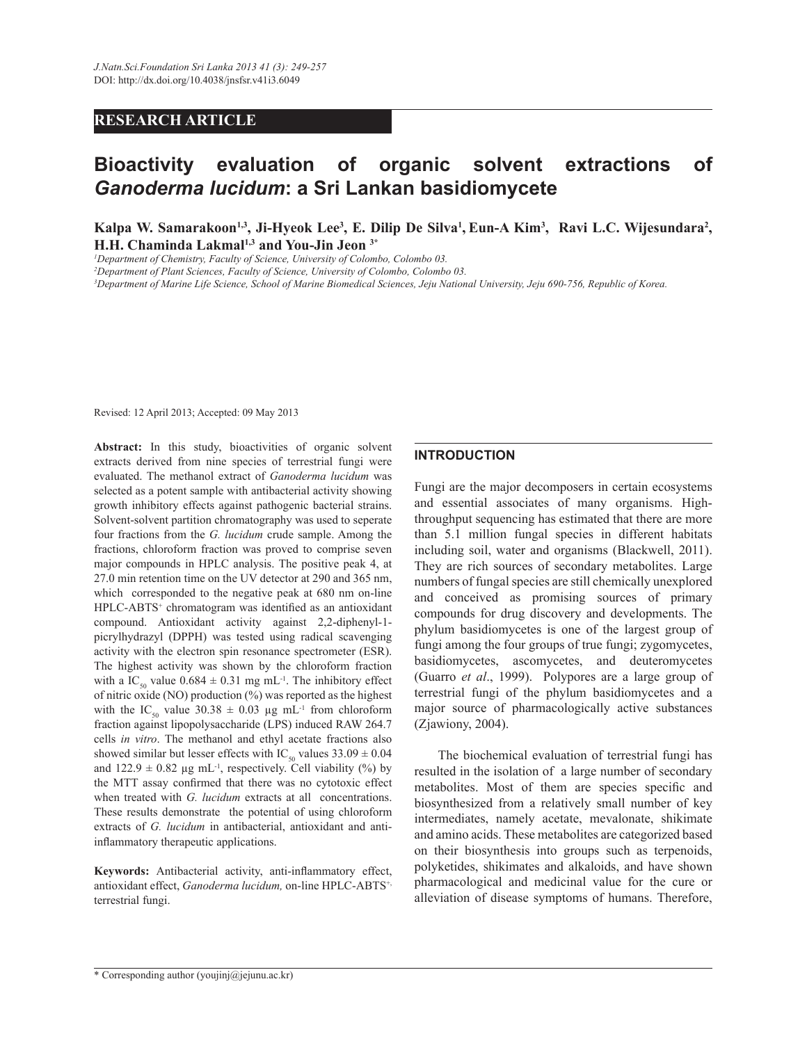# **RESEARCH ARTICLE**

# **Bioactivity evaluation of organic solvent extractions of**  *Ganoderma lucidum***: a Sri Lankan basidiomycete**

**Kalpa W. Samarakoon1,3, Ji-Hyeok Lee<sup>3</sup> , E. Dilip De Silva<sup>1</sup> , Eun-A Kim<sup>3</sup> , Ravi L.C. Wijesundara<sup>2</sup> , H.H. Chaminda Lakmal1,3 and You-Jin Jeon 3\***

*<sup>1</sup>Department of Chemistry, Faculty of Science, University of Colombo, Colombo 03.*

*<sup>2</sup>Department of Plant Sciences, Faculty of Science, University of Colombo, Colombo 03.*

*<sup>3</sup>Department of Marine Life Science, School of Marine Biomedical Sciences, Jeju National University, Jeju 690-756, Republic of Korea.*

Revised: 12 April 2013; Accepted: 09 May 2013

**Abstract:** In this study, bioactivities of organic solvent extracts derived from nine species of terrestrial fungi were evaluated. The methanol extract of *Ganoderma lucidum* was selected as a potent sample with antibacterial activity showing growth inhibitory effects against pathogenic bacterial strains. Solvent-solvent partition chromatography was used to seperate four fractions from the *G. lucidum* crude sample. Among the fractions, chloroform fraction was proved to comprise seven major compounds in HPLC analysis. The positive peak 4, at 27.0 min retention time on the UV detector at 290 and 365 nm, which corresponded to the negative peak at 680 nm on-line HPLC-ABTS<sup>+</sup> chromatogram was identified as an antioxidant compound. Antioxidant activity against 2,2-diphenyl-1 picrylhydrazyl (DPPH) was tested using radical scavenging activity with the electron spin resonance spectrometer (ESR). The highest activity was shown by the chloroform fraction with a IC<sub>50</sub> value  $0.684 \pm 0.31$  mg mL<sup>-1</sup>. The inhibitory effect of nitric oxide (NO) production (%) was reported as the highest with the IC<sub>50</sub> value 30.38  $\pm$  0.03 µg mL<sup>-1</sup> from chloroform fraction against lipopolysaccharide (LPS) induced RAW 264.7 cells *in vitro*. The methanol and ethyl acetate fractions also showed similar but lesser effects with IC<sub>50</sub> values  $33.09 \pm 0.04$ and  $122.9 \pm 0.82$  µg mL<sup>-1</sup>, respectively. Cell viability (%) by the MTT assay confirmed that there was no cytotoxic effect when treated with *G. lucidum* extracts at all concentrations. These results demonstrate the potential of using chloroform extracts of *G. lucidum* in antibacterial, antioxidant and antiinflammatory therapeutic applications.

**Keywords:** Antibacterial activity, anti-inflammatory effect, antioxidant effect, *Ganoderma lucidum,* on-line HPLC-ABTS+, terrestrial fungi.

#### **INTRODUCTION**

Fungi are the major decomposers in certain ecosystems and essential associates of many organisms. Highthroughput sequencing has estimated that there are more than 5.1 million fungal species in different habitats including soil, water and organisms (Blackwell, 2011). They are rich sources of secondary metabolites. Large numbers of fungal species are still chemically unexplored and conceived as promising sources of primary compounds for drug discovery and developments. The phylum basidiomycetes is one of the largest group of fungi among the four groups of true fungi; zygomycetes, basidiomycetes, ascomycetes, and deuteromycetes (Guarro *et al*., 1999). Polypores are a large group of terrestrial fungi of the phylum basidiomycetes and a major source of pharmacologically active substances (Zjawiony, 2004).

 The biochemical evaluation of terrestrial fungi has resulted in the isolation of a large number of secondary metabolites. Most of them are species specific and biosynthesized from a relatively small number of key intermediates, namely acetate, mevalonate, shikimate and amino acids. These metabolites are categorized based on their biosynthesis into groups such as terpenoids, polyketides, shikimates and alkaloids, and have shown pharmacological and medicinal value for the cure or alleviation of disease symptoms of humans. Therefore,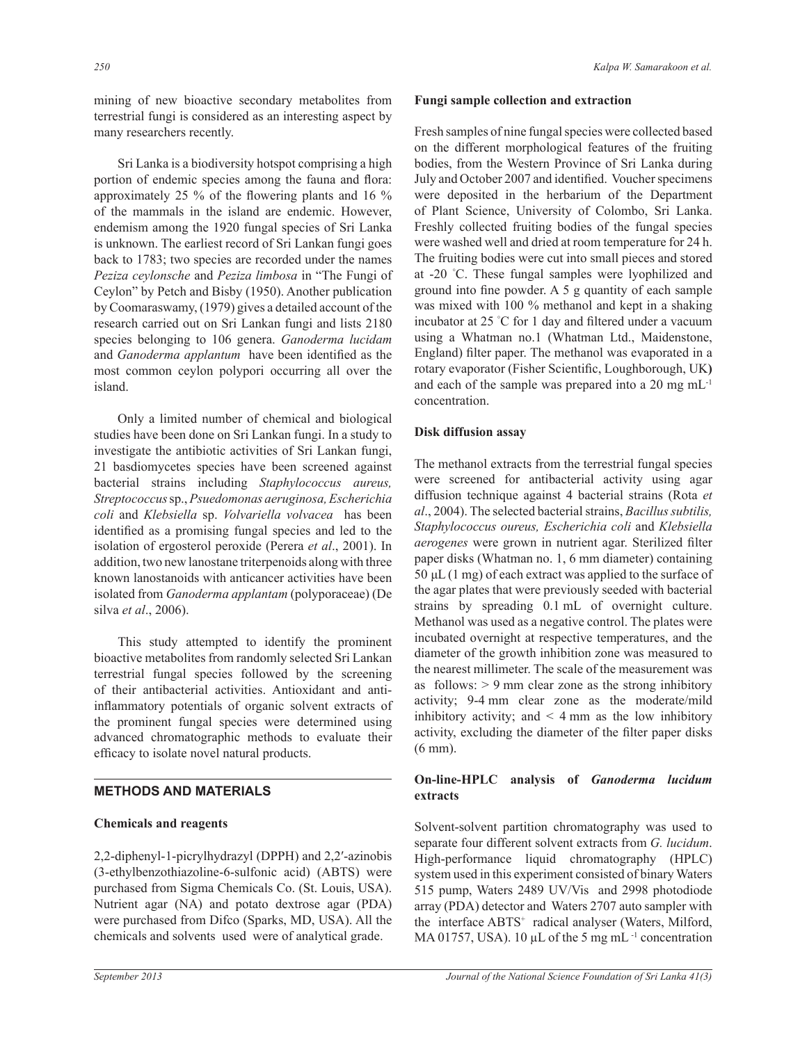mining of new bioactive secondary metabolites from terrestrial fungi is considered as an interesting aspect by many researchers recently.

 Sri Lanka is a biodiversity hotspot comprising a high portion of endemic species among the fauna and flora: approximately 25 % of the flowering plants and 16 % of the mammals in the island are endemic. However, endemism among the 1920 fungal species of Sri Lanka is unknown. The earliest record of Sri Lankan fungi goes back to 1783; two species are recorded under the names *Peziza ceylonsche* and *Peziza limbosa* in "The Fungi of Ceylon" by Petch and Bisby (1950). Another publication by Coomaraswamy, (1979) gives a detailed account of the research carried out on Sri Lankan fungi and lists 2180 species belonging to 106 genera. *Ganoderma lucidam* and *Ganoderma applantum* have been identified as the most common ceylon polypori occurring all over the island.

 Only a limited number of chemical and biological studies have been done on Sri Lankan fungi. In a study to investigate the antibiotic activities of Sri Lankan fungi, 21 basdiomycetes species have been screened against bacterial strains including *Staphylococcus aureus, Streptococcus* sp., *Psuedomonas aeruginosa, Escherichia coli* and *Klebsiella* sp. *Volvariella volvacea* has been identified as a promising fungal species and led to the isolation of ergosterol peroxide (Perera *et al*., 2001). In addition, two new lanostane triterpenoids along with three known lanostanoids with anticancer activities have been isolated from *Ganoderma applantam* (polyporaceae) (De silva *et al*., 2006).

 This study attempted to identify the prominent bioactive metabolites from randomly selected Sri Lankan terrestrial fungal species followed by the screening of their antibacterial activities. Antioxidant and antiinflammatory potentials of organic solvent extracts of the prominent fungal species were determined using advanced chromatographic methods to evaluate their efficacy to isolate novel natural products.

# **METHODS AND MATERIALS**

#### **Chemicals and reagents**

2,2-diphenyl-1-picrylhydrazyl (DPPH) and 2,2′-azinobis (3-ethylbenzothiazoline-6-sulfonic acid) (ABTS) were purchased from Sigma Chemicals Co. (St. Louis, USA). Nutrient agar (NA) and potato dextrose agar (PDA) were purchased from Difco (Sparks, MD, USA). All the chemicals and solvents used were of analytical grade.

#### **Fungi sample collection and extraction**

Fresh samples of nine fungal species were collected based on the different morphological features of the fruiting bodies, from the Western Province of Sri Lanka during July and October 2007 and identified. Voucher specimens were deposited in the herbarium of the Department of Plant Science, University of Colombo, Sri Lanka. Freshly collected fruiting bodies of the fungal species were washed well and dried at room temperature for 24 h. The fruiting bodies were cut into small pieces and stored at -20 °C. These fungal samples were lyophilized and ground into fine powder. A 5 g quantity of each sample was mixed with 100 % methanol and kept in a shaking incubator at 25 °C for 1 day and filtered under a vacuum using a Whatman no.1 (Whatman Ltd., Maidenstone, England) filter paper. The methanol was evaporated in a rotary evaporator (Fisher Scientific, Loughborough, UK**)**  and each of the sample was prepared into a 20 mg mL-1 concentration.

#### **Disk diffusion assay**

The methanol extracts from the terrestrial fungal species were screened for antibacterial activity using agar diffusion technique against 4 bacterial strains (Rota *et al*., 2004). The selected bacterial strains, *Bacillus subtilis, Staphylococcus oureus, Escherichia coli* and *Klebsiella aerogenes* were grown in nutrient agar. Sterilized filter paper disks (Whatman no. 1, 6 mm diameter) containing 50 μL (1 mg) of each extract was applied to the surface of the agar plates that were previously seeded with bacterial strains by spreading 0.1 mL of overnight culture. Methanol was used as a negative control. The plates were incubated overnight at respective temperatures, and the diameter of the growth inhibition zone was measured to the nearest millimeter. The scale of the measurement was as follows:  $> 9$  mm clear zone as the strong inhibitory activity; 9-4 mm clear zone as the moderate/mild inhibitory activity; and  $\leq 4$  mm as the low inhibitory activity, excluding the diameter of the filter paper disks (6 mm).

# **On-line-HPLC analysis of** *Ganoderma lucidum*  **extracts**

Solvent-solvent partition chromatography was used to separate four different solvent extracts from *G. lucidum*. High-performance liquid chromatography (HPLC) system used in this experiment consisted of binary Waters 515 pump, Waters 2489 UV/Vis and 2998 photodiode array (PDA) detector and Waters 2707 auto sampler with the interface ABTS<sup>+</sup> radical analyser (Waters, Milford, MA 01757, USA). 10 µL of the 5 mg mL<sup>-1</sup> concentration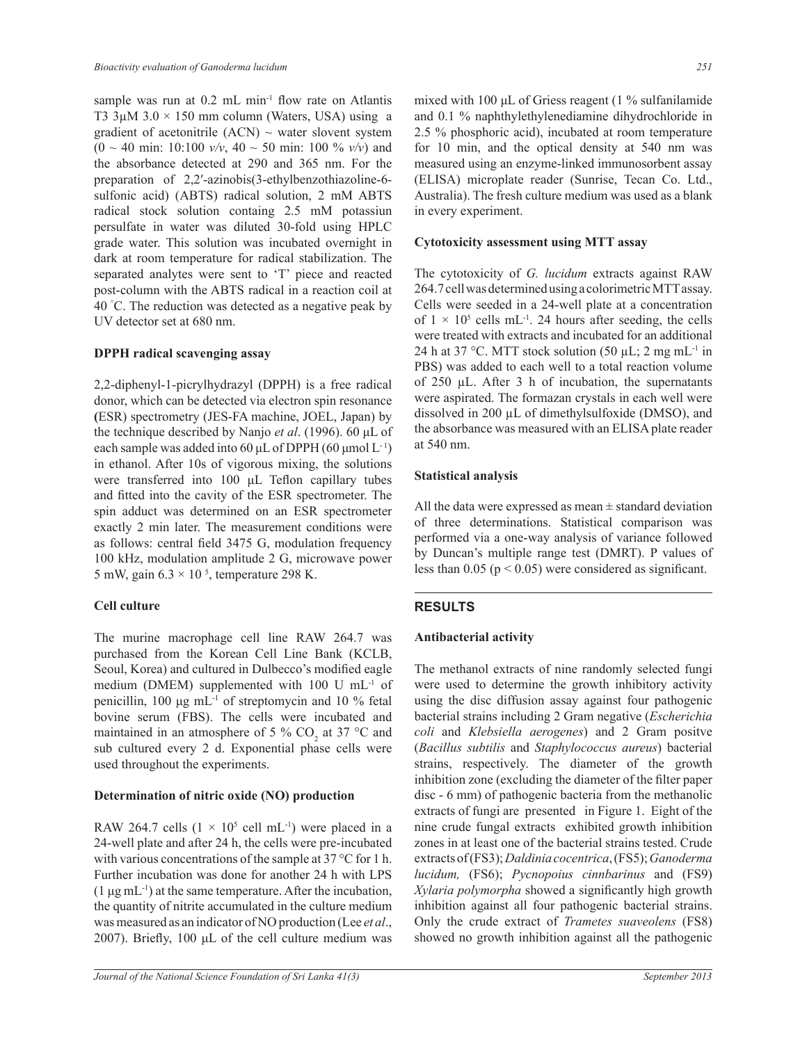sample was run at 0.2 mL min<sup>-1</sup> flow rate on Atlantis T3 3 $\mu$ M 3.0 × 150 mm column (Waters, USA) using a gradient of acetonitrile  $(ACN) \sim$  water slovent system  $(0 \sim 40 \text{ min: } 10:100 \text{ v/v}, 40 \sim 50 \text{ min: } 100 \text{ % } v/v)$  and the absorbance detected at 290 and 365 nm. For the preparation of 2,2′-azinobis(3-ethylbenzothiazoline-6 sulfonic acid) (ABTS) radical solution, 2 mM ABTS radical stock solution containg 2.5 mM potassiun persulfate in water was diluted 30-fold using HPLC grade water. This solution was incubated overnight in dark at room temperature for radical stabilization. The separated analytes were sent to 'T' piece and reacted post-column with the ABTS radical in a reaction coil at 40 °C. The reduction was detected as a negative peak by UV detector set at 680 nm.

#### **DPPH radical scavenging assay**

2,2-diphenyl-1-picrylhydrazyl (DPPH) is a free radical donor, which can be detected via electron spin resonance **(**ESR) spectrometry (JES-FA machine, JOEL, Japan) by the technique described by Nanjo *et al*. (1996). 60 μL of each sample was added into 60 μL of DPPH (60 μmol  $L^{-1}$ ) in ethanol. After 10s of vigorous mixing, the solutions were transferred into 100 μL Teflon capillary tubes and fitted into the cavity of the ESR spectrometer. The spin adduct was determined on an ESR spectrometer exactly 2 min later. The measurement conditions were as follows: central field 3475 G, modulation frequency 100 kHz, modulation amplitude 2 G, microwave power 5 mW, gain  $6.3 \times 10^{-5}$ , temperature 298 K.

## **Cell culture**

The murine macrophage cell line RAW 264.7 was purchased from the Korean Cell Line Bank (KCLB, Seoul, Korea) and cultured in Dulbecco's modified eagle medium (DMEM) supplemented with 100 U mL-1 of penicillin, 100 μg mL-1 of streptomycin and 10 % fetal bovine serum (FBS). The cells were incubated and maintained in an atmosphere of 5 %  $CO_2$  at 37 °C and sub cultured every 2 d. Exponential phase cells were used throughout the experiments.

## **Determination of nitric oxide (NO) production**

RAW 264.7 cells  $(1 \times 10^5 \text{ cell } \text{mL}^{-1})$  were placed in a 24-well plate and after 24 h, the cells were pre-incubated with various concentrations of the sample at 37 °C for 1 h. Further incubation was done for another 24 h with LPS  $(1 \mu g \, mL^{-1})$  at the same temperature. After the incubation, the quantity of nitrite accumulated in the culture medium was measured as an indicator of NO production (Lee *et al*., 2007). Briefly, 100 μL of the cell culture medium was

mixed with 100 μL of Griess reagent (1 % sulfanilamide and 0.1 % naphthylethylenediamine dihydrochloride in 2.5 % phosphoric acid), incubated at room temperature for 10 min, and the optical density at 540 nm was measured using an enzyme-linked immunosorbent assay (ELISA) microplate reader (Sunrise, Tecan Co. Ltd., Australia). The fresh culture medium was used as a blank in every experiment.

# **Cytotoxicity assessment using MTT assay**

The cytotoxicity of *G. lucidum* extracts against RAW 264.7 cell was determined using a colorimetric MTT assay. Cells were seeded in a 24-well plate at a concentration of  $1 \times 10^5$  cells mL<sup>-1</sup>. 24 hours after seeding, the cells were treated with extracts and incubated for an additional 24 h at 37 °C. MTT stock solution (50  $\mu$ L; 2 mg mL<sup>-1</sup> in PBS) was added to each well to a total reaction volume of 250 µL. After 3 h of incubation, the supernatants were aspirated. The formazan crystals in each well were dissolved in 200 µL of dimethylsulfoxide (DMSO), and the absorbance was measured with an ELISA plate reader at 540 nm.

## **Statistical analysis**

All the data were expressed as mean  $\pm$  standard deviation of three determinations. Statistical comparison was performed via a one-way analysis of variance followed by Duncan's multiple range test (DMRT). P values of less than  $0.05$  ( $p < 0.05$ ) were considered as significant.

# **RESULTS**

# **Antibacterial activity**

The methanol extracts of nine randomly selected fungi were used to determine the growth inhibitory activity using the disc diffusion assay against four pathogenic bacterial strains including 2 Gram negative (*Escherichia coli* and *Klebsiella aerogenes*) and 2 Gram positve (*Bacillus subtilis* and *Staphylococcus aureus*) bacterial strains, respectively. The diameter of the growth inhibition zone (excluding the diameter of the filter paper disc - 6 mm) of pathogenic bacteria from the methanolic extracts of fungi are presented in Figure 1. Eight of the nine crude fungal extracts exhibited growth inhibition zones in at least one of the bacterial strains tested. Crude extracts of (FS3); *Daldinia cocentrica*, (FS5); *Ganoderma lucidum,* (FS6); *Pycnopoius cinnbarinus* and (FS9) *Xylaria polymorpha* showed a significantly high growth inhibition against all four pathogenic bacterial strains. Only the crude extract of *Trametes suaveolens* (FS8) showed no growth inhibition against all the pathogenic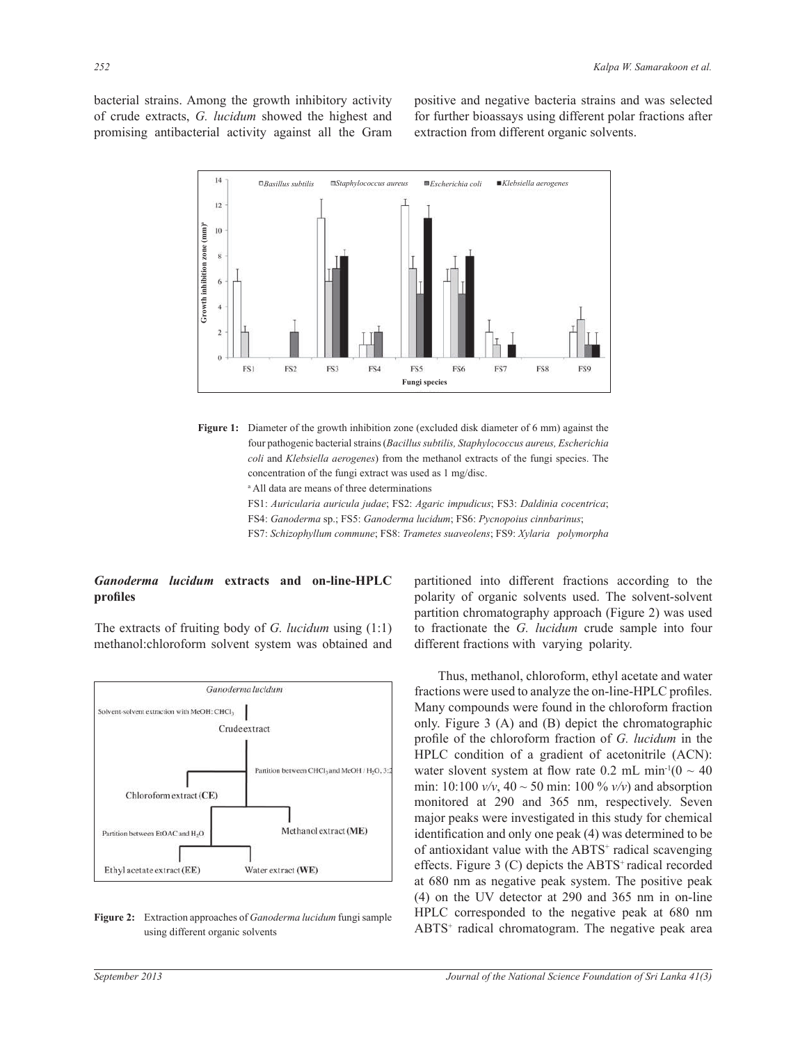bacterial strains. Among the growth inhibitory activity of crude extracts, *G. lucidum* showed the highest and promising antibacterial activity against all the Gram positive and negative bacteria strains and was selected for further bioassays using different polar fractions after extraction from different organic solvents.





<sup>a</sup> All data are means of three determinations

FS1: *Auricularia auricula judae*; FS2: *Agaric impudicus*; FS3: *Daldinia cocentrica*;

FS4: *Ganoderma* sp.; FS5: *Ganoderma lucidum*; FS6: *Pycnopoius cinnbarinus*;

FS7: *Schizophyllum commune*; FS8: *Trametes suaveolens*; FS9: *Xylaria polymorpha*

#### *Ganoderma lucidum* **extracts and on-line-HPLC profiles**

The extracts of fruiting body of *G. lucidum* using (1:1) methanol:chloroform solvent system was obtained and



**Figure 2:** Extraction approaches of *Ganoderma lucidum* fungi sample using different organic solvents

partitioned into different fractions according to the polarity of organic solvents used. The solvent-solvent partition chromatography approach (Figure 2) was used to fractionate the *G. lucidum* crude sample into four different fractions with varying polarity.

 Thus, methanol, chloroform, ethyl acetate and water fractions were used to analyze the on-line-HPLC profiles. Many compounds were found in the chloroform fraction only. Figure 3 (A) and (B) depict the chromatographic profile of the chloroform fraction of *G. lucidum* in the HPLC condition of a gradient of acetonitrile (ACN): water slovent system at flow rate 0.2 mL min<sup>-1</sup>(0  $\sim$  40 min: 10:100  $v/v$ , 40 ~ 50 min: 100 %  $v/v$ ) and absorption monitored at 290 and 365 nm, respectively. Seven major peaks were investigated in this study for chemical identification and only one peak (4) was determined to be of antioxidant value with the ABTS<sup>+</sup> radical scavenging effects. Figure 3  $(C)$  depicts the ABTS<sup>+</sup> radical recorded at 680 nm as negative peak system. The positive peak (4) on the UV detector at 290 and 365 nm in on-line HPLC corresponded to the negative peak at 680 nm ABTS<sup>+</sup> radical chromatogram. The negative peak area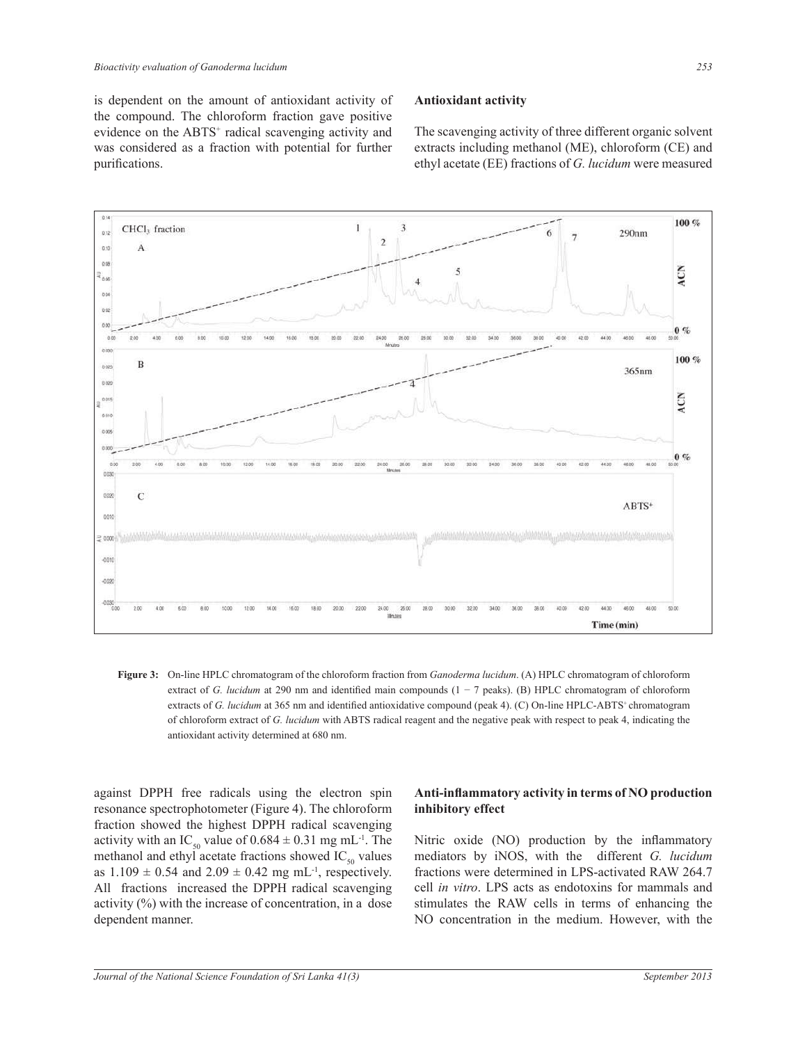is dependent on the amount of antioxidant activity of the compound. The chloroform fraction gave positive evidence on the ABTS<sup>+</sup> radical scavenging activity and was considered as a fraction with potential for further purifications.

# **Antioxidant activity**

The scavenging activity of three different organic solvent extracts including methanol (ME), chloroform (CE) and ethyl acetate (EE) fractions of *G. lucidum* were measured



**Figure 3:** On-line HPLC chromatogram of the chloroform fraction from *Ganoderma lucidum*. (A) HPLC chromatogram of chloroform extract of *G. lucidum* at 290 nm and identified main compounds (1 − 7 peaks). (B) HPLC chromatogram of chloroform extracts of *G. lucidum* at 365 nm and identified antioxidative compound (peak 4). (C) On-line HPLC-ABTS<sup>+</sup>chromatogram of chloroform extract of *G. lucidum* with ABTS radical reagent and the negative peak with respect to peak 4, indicating the antioxidant activity determined at 680 nm.

against DPPH free radicals using the electron spin resonance spectrophotometer (Figure 4). The chloroform fraction showed the highest DPPH radical scavenging activity with an IC<sub>50</sub> value of  $0.684 \pm 0.31$  mg mL<sup>-1</sup>. The methanol and ethyl acetate fractions showed  $IC_{50}$  values as  $1.109 \pm 0.54$  and  $2.09 \pm 0.42$  mg mL<sup>-1</sup>, respectively. All fractions increased the DPPH radical scavenging activity (%) with the increase of concentration, in a dose dependent manner.

# **Anti-inflammatory activity in terms of NO production inhibitory effect**

Nitric oxide (NO) production by the inflammatory mediators by iNOS, with the different *G. lucidum*  fractions were determined in LPS-activated RAW 264.7 cell *in vitro*. LPS acts as endotoxins for mammals and stimulates the RAW cells in terms of enhancing the NO concentration in the medium. However, with the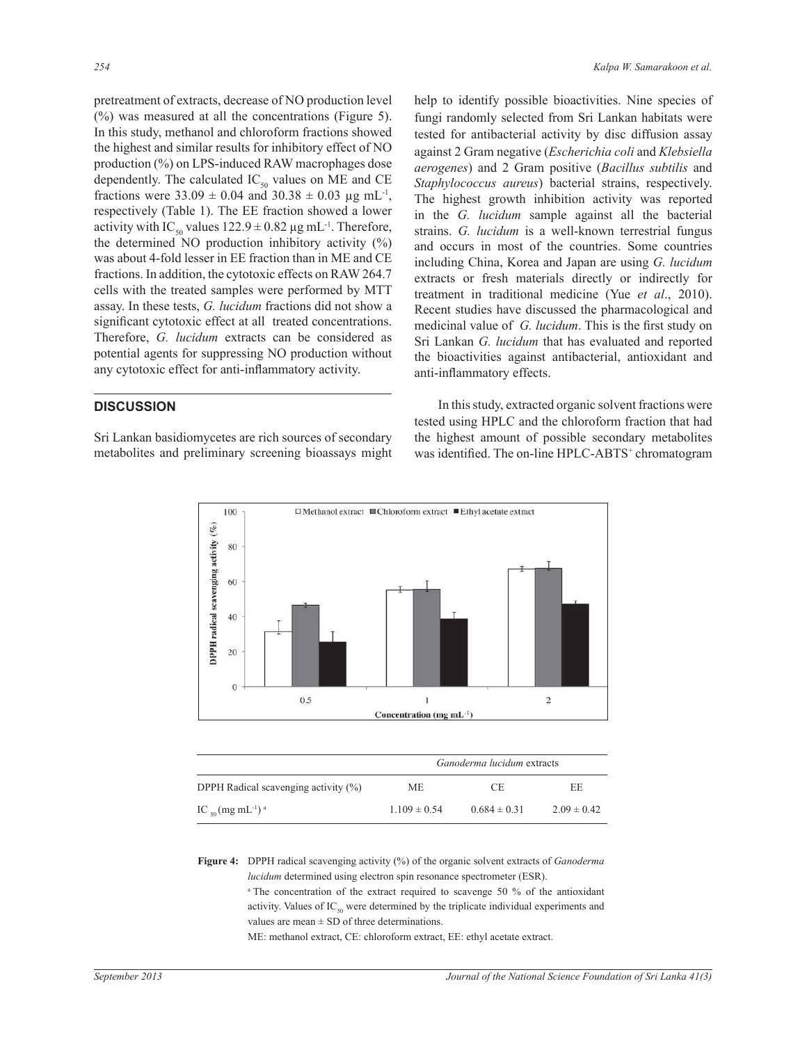pretreatment of extracts, decrease of NO production level (%) was measured at all the concentrations (Figure 5). In this study, methanol and chloroform fractions showed the highest and similar results for inhibitory effect of NO production (%) on LPS-induced RAW macrophages dose dependently. The calculated  $IC_{50}$  values on ME and CE fractions were  $33.09 \pm 0.04$  and  $30.38 \pm 0.03$  µg mL<sup>-1</sup>, respectively (Table 1). The EE fraction showed a lower activity with IC<sub>50</sub> values  $122.9 \pm 0.82 \,\mu g \,\text{mL}^{-1}$ . Therefore, the determined NO production inhibitory activity  $(\%)$ was about 4-fold lesser in EE fraction than in ME and CE fractions. In addition, the cytotoxic effects on RAW 264.7 cells with the treated samples were performed by MTT assay. In these tests, *G. lucidum* fractions did not show a significant cytotoxic effect at all treated concentrations. Therefore, *G. lucidum* extracts can be considered as potential agents for suppressing NO production without any cytotoxic effect for anti-inflammatory activity.

#### **DISCUSSION**

Sri Lankan basidiomycetes are rich sources of secondary metabolites and preliminary screening bioassays might help to identify possible bioactivities. Nine species of fungi randomly selected from Sri Lankan habitats were tested for antibacterial activity by disc diffusion assay against 2 Gram negative (*Escherichia coli* and *Klebsiella aerogenes*) and 2 Gram positive (*Bacillus subtilis* and *Staphylococcus aureus*) bacterial strains, respectively. The highest growth inhibition activity was reported in the *G. lucidum* sample against all the bacterial strains. *G. lucidum* is a well-known terrestrial fungus and occurs in most of the countries. Some countries including China, Korea and Japan are using *G. lucidum*  extracts or fresh materials directly or indirectly for treatment in traditional medicine (Yue *et al*., 2010). Recent studies have discussed the pharmacological and medicinal value of *G. lucidum*. This is the first study on Sri Lankan *G. lucidum* that has evaluated and reported the bioactivities against antibacterial, antioxidant and anti-inflammatory effects.

 In this study, extracted organic solvent fractions were tested using HPLC and the chloroform fraction that had the highest amount of possible secondary metabolites was identified. The on-line HPLC-ABTS<sup>+</sup> chromatogram



|                                                | <i>Ganoderma lucidum</i> extracts |                  |                 |
|------------------------------------------------|-----------------------------------|------------------|-----------------|
| DPPH Radical scavenging activity $(\% )$       | МE                                | CE.              | EE              |
| IC $_{50}$ (mg mL <sup>-1</sup> ) <sup>a</sup> | $1.109 \pm 0.54$                  | $0.684 \pm 0.31$ | $2.09 \pm 0.42$ |

**Figure 4:** DPPH radical scavenging activity (%) of the organic solvent extracts of *Ganoderma lucidum* determined using electron spin resonance spectrometer (ESR).

<sup>a</sup>The concentration of the extract required to scavenge 50 % of the antioxidant activity. Values of  $IC_{50}$  were determined by the triplicate individual experiments and values are mean  $\pm$  SD of three determinations.

ME: methanol extract, CE: chloroform extract, EE: ethyl acetate extract.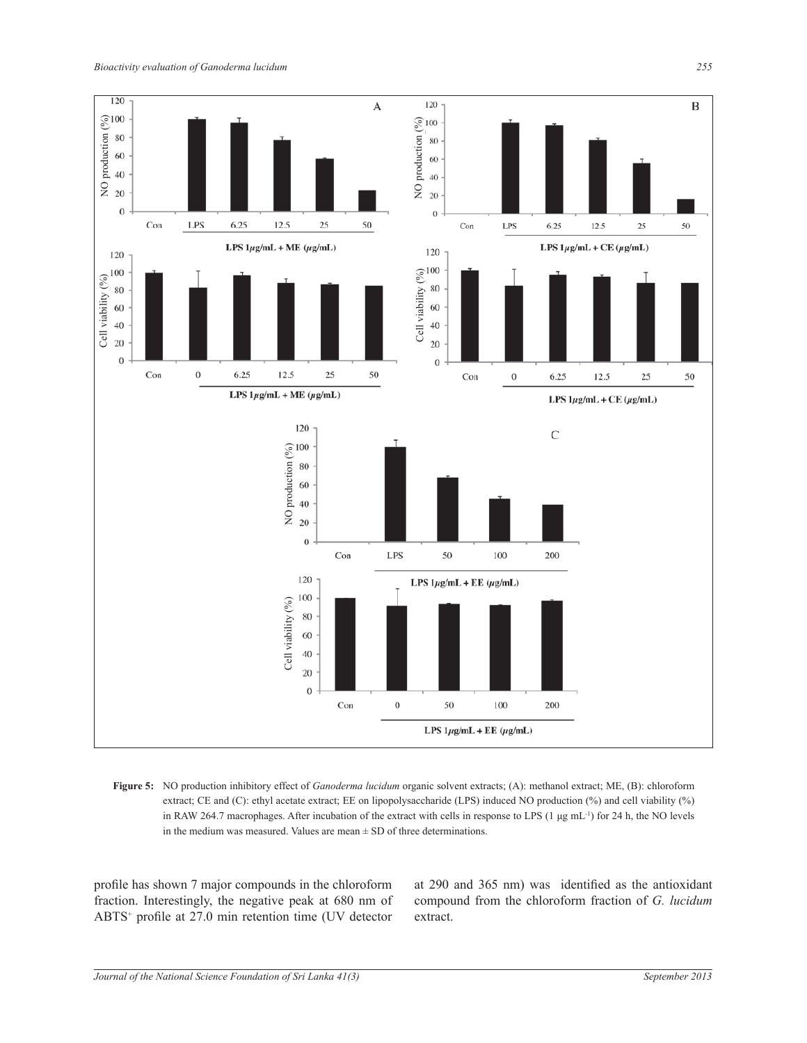

**Figure 5:** NO production inhibitory effect of *Ganoderma lucidum* organic solvent extracts; (A): methanol extract; ME, (B): chloroform extract; CE and (C): ethyl acetate extract; EE on lipopolysaccharide (LPS) induced NO production (%) and cell viability (%) in RAW 264.7 macrophages. After incubation of the extract with cells in response to LPS (1 μg mL-1) for 24 h, the NO levels in the medium was measured. Values are mean  $\pm$  SD of three determinations.

profile has shown 7 major compounds in the chloroform fraction. Interestingly, the negative peak at 680 nm of ABTS<sup>+</sup> profile at 27.0 min retention time (UV detector at 290 and 365 nm) was identified as the antioxidant compound from the chloroform fraction of *G. lucidum* extract.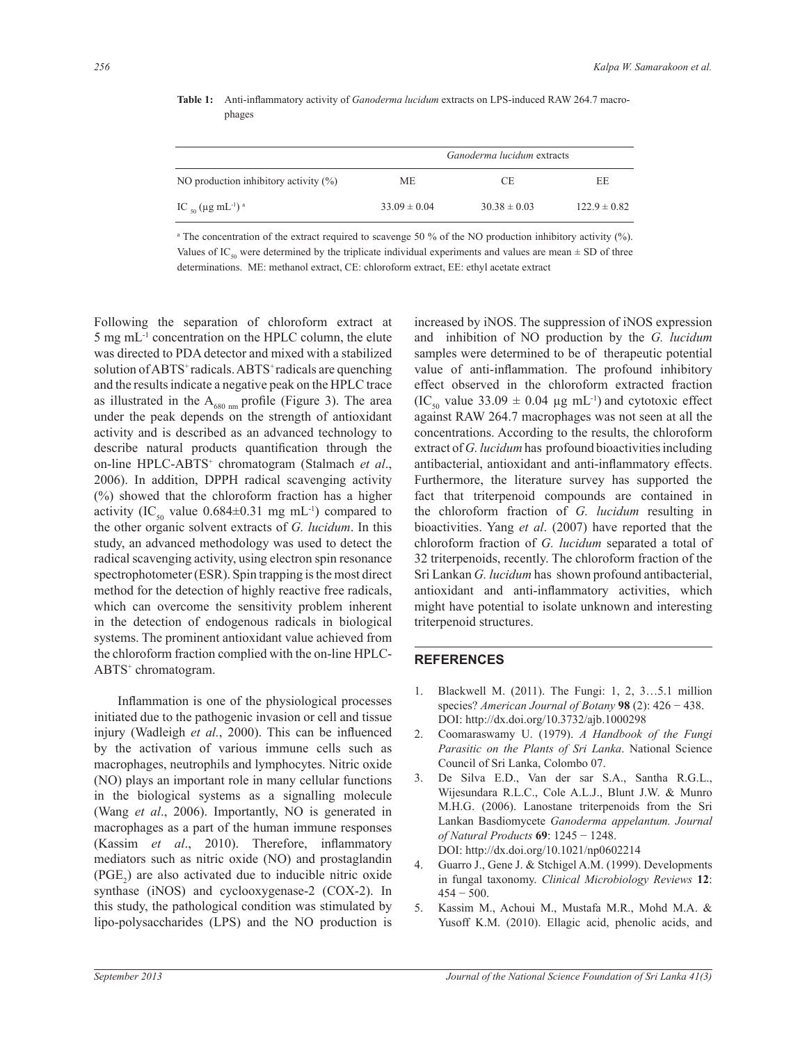|                                                | <i>Ganoderma lucidum</i> extracts |                  |                  |
|------------------------------------------------|-----------------------------------|------------------|------------------|
| NO production inhibitory activity $(\%)$       | МE                                | СE               | EE               |
| IC $_{50}$ (µg mL <sup>-1</sup> ) <sup>a</sup> | $33.09 \pm 0.04$                  | $30.38 \pm 0.03$ | $122.9 \pm 0.82$ |

**Table 1:** Anti-inflammatory activity of *Ganoderma lucidum* extracts on LPS-induced RAW 264.7 macrophages

a The concentration of the extract required to scavenge 50 % of the NO production inhibitory activity (%). Values of IC<sub>50</sub> were determined by the triplicate individual experiments and values are mean  $\pm$  SD of three determinations. ME: methanol extract, CE: chloroform extract, EE: ethyl acetate extract

Following the separation of chloroform extract at 5 mg mL-1 concentration on the HPLC column, the elute was directed to PDA detector and mixed with a stabilized solution of ABTS<sup>+</sup> radicals. ABTS<sup>+</sup> radicals are quenching and the results indicate a negative peak on the HPLC trace as illustrated in the  $A_{680 \text{ nm}}$  profile (Figure 3). The area under the peak depends on the strength of antioxidant activity and is described as an advanced technology to describe natural products quantification through the on-line HPLC-ABTS<sup>+</sup> chromatogram (Stalmach et al., 2006). In addition, DPPH radical scavenging activity (%) showed that the chloroform fraction has a higher activity (IC<sub>50</sub> value  $0.684\pm0.31$  mg mL<sup>-1</sup>) compared to the other organic solvent extracts of *G. lucidum*. In this study, an advanced methodology was used to detect the radical scavenging activity, using electron spin resonance spectrophotometer (ESR). Spin trapping is the most direct method for the detection of highly reactive free radicals, which can overcome the sensitivity problem inherent in the detection of endogenous radicals in biological systems. The prominent antioxidant value achieved from the chloroform fraction complied with the on-line HPLC-ABTS<sup>+</sup> chromatogram.

Inflammation is one of the physiological processes initiated due to the pathogenic invasion or cell and tissue injury (Wadleigh *et al.*, 2000). This can be influenced by the activation of various immune cells such as macrophages, neutrophils and lymphocytes. Nitric oxide (NO) plays an important role in many cellular functions in the biological systems as a signalling molecule (Wang *et al*., 2006). Importantly, NO is generated in macrophages as a part of the human immune responses (Kassim *et al*., 2010). Therefore, inflammatory mediators such as nitric oxide (NO) and prostaglandin  $(PGE<sub>2</sub>)$  are also activated due to inducible nitric oxide synthase (iNOS) and cyclooxygenase-2 (COX-2). In this study, the pathological condition was stimulated by lipo-polysaccharides (LPS) and the NO production is

increased by iNOS. The suppression of iNOS expression and inhibition of NO production by the *G. lucidum* samples were determined to be of therapeutic potential value of anti-inflammation. The profound inhibitory effect observed in the chloroform extracted fraction  $(IC_{50}$  value 33.09  $\pm$  0.04 µg mL<sup>-1</sup>) and cytotoxic effect against RAW 264.7 macrophages was not seen at all the concentrations. According to the results, the chloroform extract of *G. lucidum* has profound bioactivities including antibacterial, antioxidant and anti-inflammatory effects. Furthermore, the literature survey has supported the fact that triterpenoid compounds are contained in the chloroform fraction of *G. lucidum* resulting in bioactivities. Yang *et al*. (2007) have reported that the chloroform fraction of *G. lucidum* separated a total of 32 triterpenoids, recently. The chloroform fraction of the Sri Lankan *G. lucidum* has shown profound antibacterial, antioxidant and anti-inflammatory activities, which might have potential to isolate unknown and interesting triterpenoid structures.

#### **REFERENCES**

- 1. Blackwell M. (2011). The Fungi: 1, 2, 3…5.1 million species? *American Journal of Botany* **98** (2): 426 − 438. DOI: http://dx.doi.org/10.3732/ajb.1000298
- 2. Coomaraswamy U. (1979). *A Handbook of the Fungi Parasitic on the Plants of Sri Lanka*. National Science Council of Sri Lanka, Colombo 07.
- 3. De Silva E.D., Van der sar S.A., Santha R.G.L., Wijesundara R.L.C., Cole A.L.J., Blunt J.W. & Munro M.H.G. (2006). Lanostane triterpenoids from the Sri Lankan Basdiomycete *Ganoderma appelantum. Journal of Natural Products* **69**: 1245 − 1248. DOI: http://dx.doi.org/10.1021/np0602214
- 4. Guarro J., Gene J. & Stchigel A.M. (1999). Developments in fungal taxonomy. *Clinical Microbiology Reviews* **12**:  $454 - 500$ .
- 5. Kassim M., Achoui M., Mustafa M.R., Mohd M.A. & Yusoff K.M. (2010). Ellagic acid, phenolic acids, and